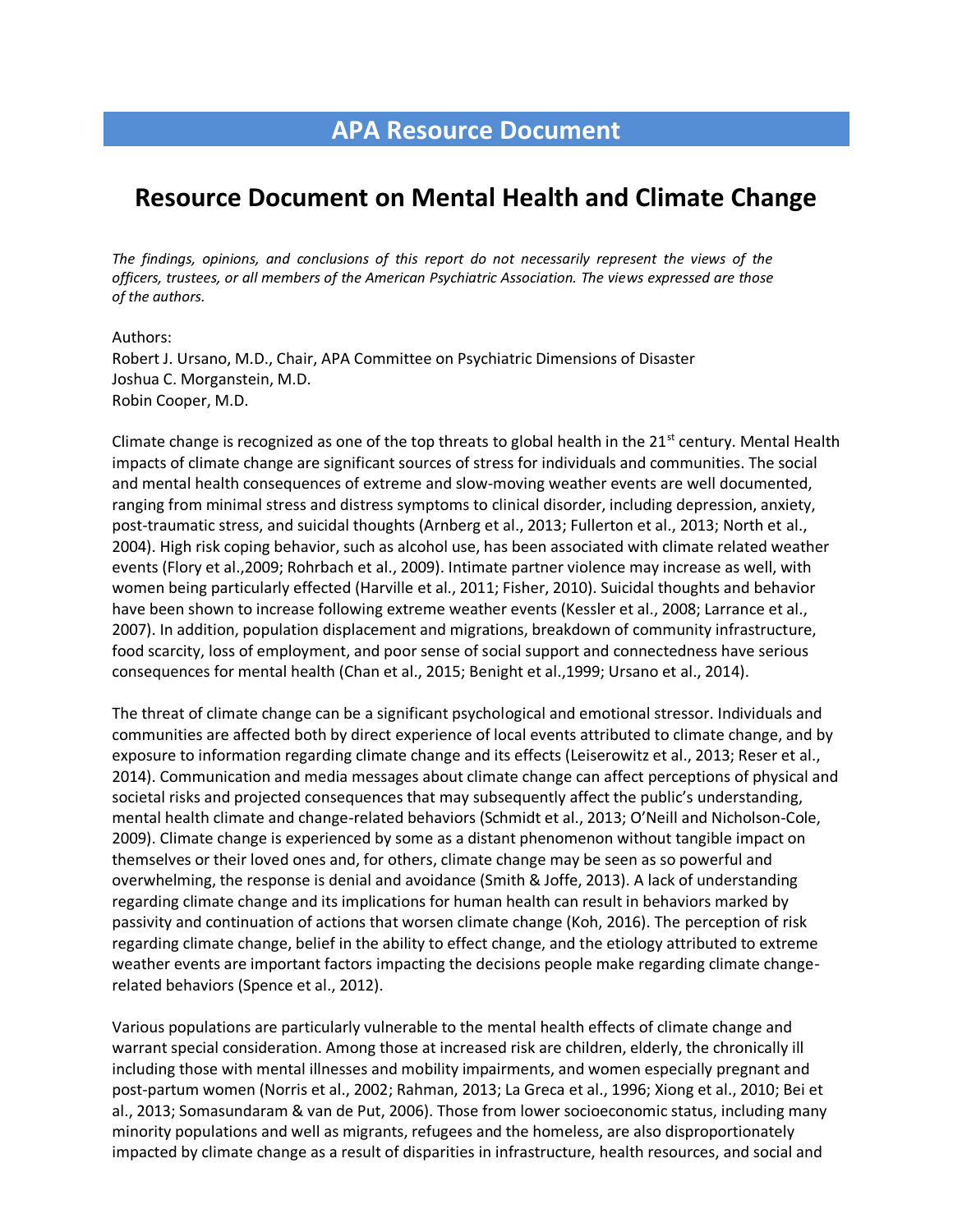## **APA Resource Document**

## **Resource Document on Mental Health and Climate Change**

*The findings, opinions, and conclusions of this report do not necessarily represent the views of the officers, trustees, or all members of the American Psychiatric Association. The views expressed are those of the authors.*

Authors: Robert J. Ursano, M.D., Chair, APA Committee on Psychiatric Dimensions of Disaster Joshua C. Morganstein, M.D. Robin Cooper, M.D.

Climate change is recognized as one of the top threats to global health in the  $21<sup>st</sup>$  century. Mental Health impacts of climate change are significant sources of stress for individuals and communities. The social and mental health consequences of extreme and slow-moving weather events are well documented, ranging from minimal stress and distress symptoms to clinical disorder, including depression, anxiety, post-traumatic stress, and suicidal thoughts (Arnberg et al., 2013; Fullerton et al., 2013; North et al., 2004). High risk coping behavior, such as alcohol use, has been associated with climate related weather events (Flory et al.,2009; Rohrbach et al., 2009). Intimate partner violence may increase as well, with women being particularly effected (Harville et al., 2011; Fisher, 2010). Suicidal thoughts and behavior have been shown to increase following extreme weather events (Kessler et al., 2008; Larrance et al., 2007). In addition, population displacement and migrations, breakdown of community infrastructure, food scarcity, loss of employment, and poor sense of social support and connectedness have serious consequences for mental health (Chan et al., 2015; Benight et al.,1999; Ursano et al., 2014).

The threat of climate change can be a significant psychological and emotional stressor. Individuals and communities are affected both by direct experience of local events attributed to climate change, and by exposure to information regarding climate change and its effects (Leiserowitz et al., 2013; Reser et al., 2014). Communication and media messages about climate change can affect perceptions of physical and societal risks and projected consequences that may subsequently affect the public's understanding, mental health climate and change-related behaviors (Schmidt et al., 2013; O'Neill and Nicholson-Cole, 2009). Climate change is experienced by some as a distant phenomenon without tangible impact on themselves or their loved ones and, for others, climate change may be seen as so powerful and overwhelming, the response is denial and avoidance (Smith & Joffe, 2013). A lack of understanding regarding climate change and its implications for human health can result in behaviors marked by passivity and continuation of actions that worsen climate change (Koh, 2016). The perception of risk regarding climate change, belief in the ability to effect change, and the etiology attributed to extreme weather events are important factors impacting the decisions people make regarding climate changerelated behaviors (Spence et al., 2012).

Various populations are particularly vulnerable to the mental health effects of climate change and warrant special consideration. Among those at increased risk are children, elderly, the chronically ill including those with mental illnesses and mobility impairments, and women especially pregnant and post-partum women (Norris et al., 2002; Rahman, 2013; La Greca et al., 1996; Xiong et al., 2010; Bei et al., 2013; Somasundaram & van de Put, 2006). Those from lower socioeconomic status, including many minority populations and well as migrants, refugees and the homeless, are also disproportionately impacted by climate change as a result of disparities in infrastructure, health resources, and social and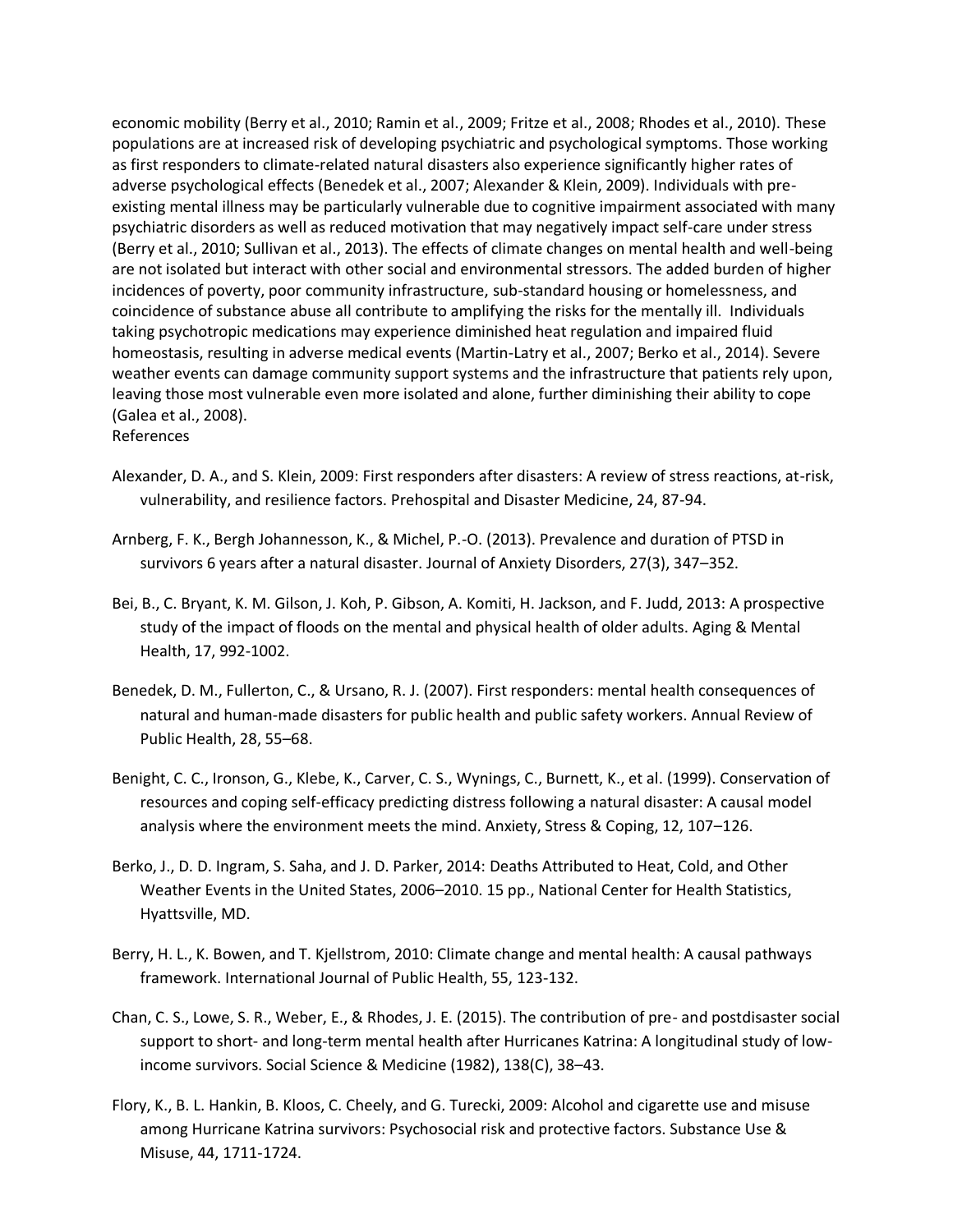economic mobility (Berry et al., 2010; Ramin et al., 2009; Fritze et al., 2008; Rhodes et al., 2010). These populations are at increased risk of developing psychiatric and psychological symptoms. Those working as first responders to climate-related natural disasters also experience significantly higher rates of adverse psychological effects (Benedek et al., 2007; Alexander & Klein, 2009). Individuals with preexisting mental illness may be particularly vulnerable due to cognitive impairment associated with many psychiatric disorders as well as reduced motivation that may negatively impact self-care under stress (Berry et al., 2010; Sullivan et al., 2013). The effects of climate changes on mental health and well-being are not isolated but interact with other social and environmental stressors. The added burden of higher incidences of poverty, poor community infrastructure, sub-standard housing or homelessness, and coincidence of substance abuse all contribute to amplifying the risks for the mentally ill. Individuals taking psychotropic medications may experience diminished heat regulation and impaired fluid homeostasis, resulting in adverse medical events (Martin-Latry et al., 2007; Berko et al., 2014). Severe weather events can damage community support systems and the infrastructure that patients rely upon, leaving those most vulnerable even more isolated and alone, further diminishing their ability to cope (Galea et al., 2008). References

- Alexander, D. A., and S. Klein, 2009: First responders after disasters: A review of stress reactions, at-risk, vulnerability, and resilience factors. Prehospital and Disaster Medicine, 24, 87-94.
- Arnberg, F. K., Bergh Johannesson, K., & Michel, P.-O. (2013). Prevalence and duration of PTSD in survivors 6 years after a natural disaster. Journal of Anxiety Disorders, 27(3), 347–352.
- Bei, B., C. Bryant, K. M. Gilson, J. Koh, P. Gibson, A. Komiti, H. Jackson, and F. Judd, 2013: A prospective study of the impact of floods on the mental and physical health of older adults. Aging & Mental Health, 17, 992-1002.
- Benedek, D. M., Fullerton, C., & Ursano, R. J. (2007). First responders: mental health consequences of natural and human-made disasters for public health and public safety workers. Annual Review of Public Health, 28, 55–68.
- Benight, C. C., Ironson, G., Klebe, K., Carver, C. S., Wynings, C., Burnett, K., et al. (1999). Conservation of resources and coping self-efficacy predicting distress following a natural disaster: A causal model analysis where the environment meets the mind. Anxiety, Stress & Coping, 12, 107–126.
- Berko, J., D. D. Ingram, S. Saha, and J. D. Parker, 2014: Deaths Attributed to Heat, Cold, and Other Weather Events in the United States, 2006–2010. 15 pp., National Center for Health Statistics, Hyattsville, MD.
- Berry, H. L., K. Bowen, and T. Kjellstrom, 2010: Climate change and mental health: A causal pathways framework. International Journal of Public Health, 55, 123-132.
- Chan, C. S., Lowe, S. R., Weber, E., & Rhodes, J. E. (2015). The contribution of pre- and postdisaster social support to short- and long-term mental health after Hurricanes Katrina: A longitudinal study of lowincome survivors. Social Science & Medicine (1982), 138(C), 38–43.
- Flory, K., B. L. Hankin, B. Kloos, C. Cheely, and G. Turecki, 2009: Alcohol and cigarette use and misuse among Hurricane Katrina survivors: Psychosocial risk and protective factors. Substance Use & Misuse, 44, 1711-1724.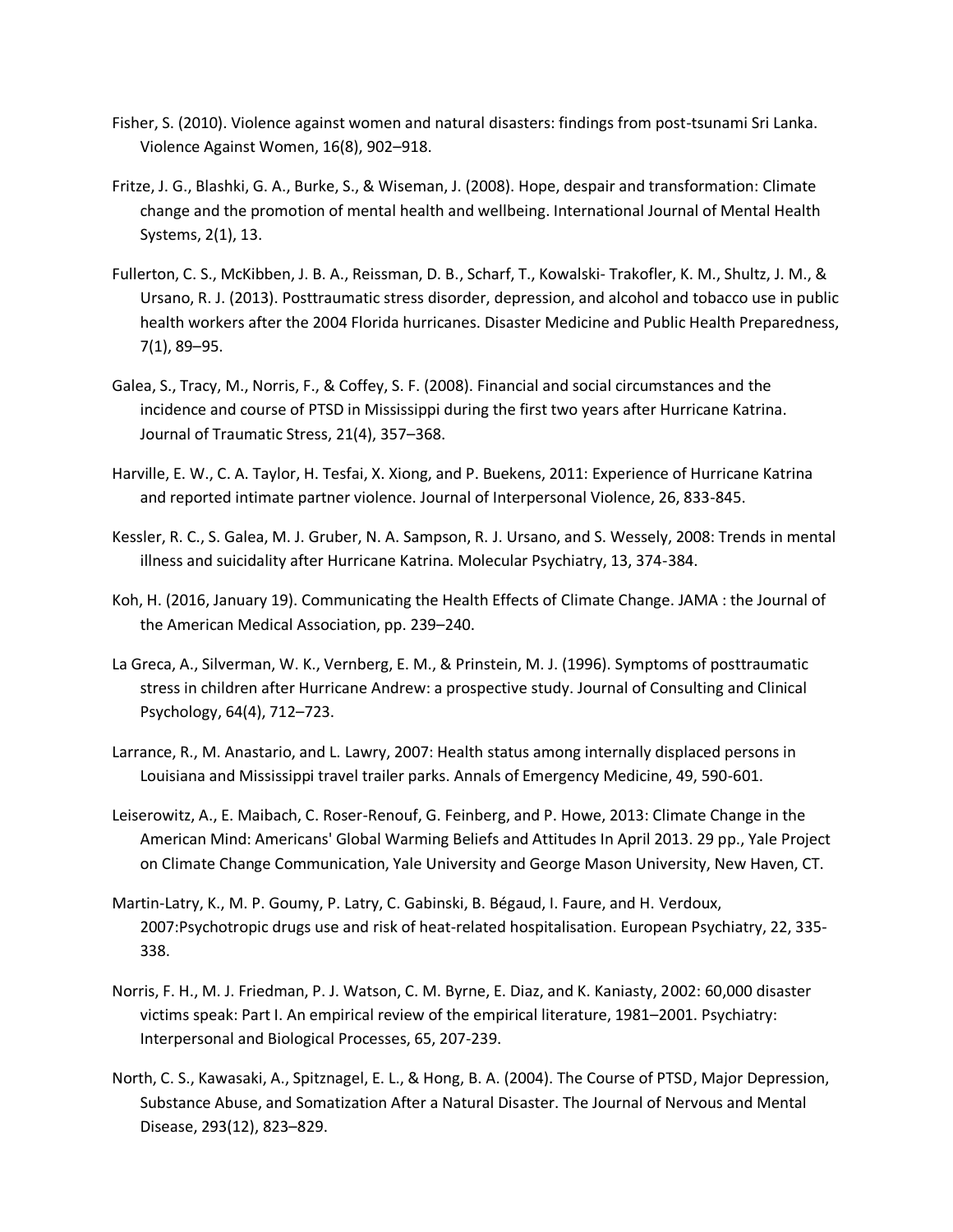- Fisher, S. (2010). Violence against women and natural disasters: findings from post-tsunami Sri Lanka. Violence Against Women, 16(8), 902–918.
- Fritze, J. G., Blashki, G. A., Burke, S., & Wiseman, J. (2008). Hope, despair and transformation: Climate change and the promotion of mental health and wellbeing. International Journal of Mental Health Systems, 2(1), 13.
- Fullerton, C. S., McKibben, J. B. A., Reissman, D. B., Scharf, T., Kowalski- Trakofler, K. M., Shultz, J. M., & Ursano, R. J. (2013). Posttraumatic stress disorder, depression, and alcohol and tobacco use in public health workers after the 2004 Florida hurricanes. Disaster Medicine and Public Health Preparedness, 7(1), 89–95.
- Galea, S., Tracy, M., Norris, F., & Coffey, S. F. (2008). Financial and social circumstances and the incidence and course of PTSD in Mississippi during the first two years after Hurricane Katrina. Journal of Traumatic Stress, 21(4), 357–368.
- Harville, E. W., C. A. Taylor, H. Tesfai, X. Xiong, and P. Buekens, 2011: Experience of Hurricane Katrina and reported intimate partner violence. Journal of Interpersonal Violence, 26, 833-845.
- Kessler, R. C., S. Galea, M. J. Gruber, N. A. Sampson, R. J. Ursano, and S. Wessely, 2008: Trends in mental illness and suicidality after Hurricane Katrina. Molecular Psychiatry, 13, 374-384.
- Koh, H. (2016, January 19). Communicating the Health Effects of Climate Change. JAMA : the Journal of the American Medical Association, pp. 239–240.
- La Greca, A., Silverman, W. K., Vernberg, E. M., & Prinstein, M. J. (1996). Symptoms of posttraumatic stress in children after Hurricane Andrew: a prospective study. Journal of Consulting and Clinical Psychology, 64(4), 712–723.
- Larrance, R., M. Anastario, and L. Lawry, 2007: Health status among internally displaced persons in Louisiana and Mississippi travel trailer parks. Annals of Emergency Medicine, 49, 590-601.
- Leiserowitz, A., E. Maibach, C. Roser-Renouf, G. Feinberg, and P. Howe, 2013: Climate Change in the American Mind: Americans' Global Warming Beliefs and Attitudes In April 2013. 29 pp., Yale Project on Climate Change Communication, Yale University and George Mason University, New Haven, CT.
- Martin-Latry, K., M. P. Goumy, P. Latry, C. Gabinski, B. Bégaud, I. Faure, and H. Verdoux, 2007:Psychotropic drugs use and risk of heat-related hospitalisation. European Psychiatry, 22, 335- 338.
- Norris, F. H., M. J. Friedman, P. J. Watson, C. M. Byrne, E. Diaz, and K. Kaniasty, 2002: 60,000 disaster victims speak: Part I. An empirical review of the empirical literature, 1981–2001. Psychiatry: Interpersonal and Biological Processes, 65, 207-239.
- North, C. S., Kawasaki, A., Spitznagel, E. L., & Hong, B. A. (2004). The Course of PTSD, Major Depression, Substance Abuse, and Somatization After a Natural Disaster. The Journal of Nervous and Mental Disease, 293(12), 823–829.